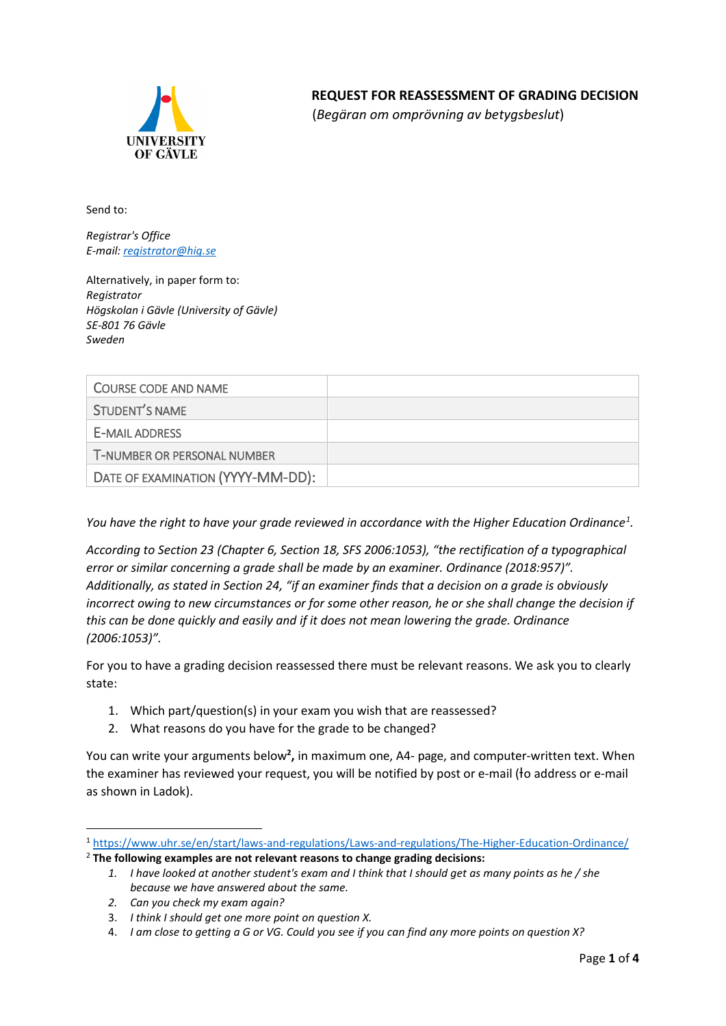

## **REQUEST FOR REASSESSMENT OF GRADING DECISION**

(*Begäran om omprövning av betygsbeslut*)

Send to:

*Registrar's Office E-mail[: registrator@hig.se](mailto:registrator@hig.se)*

Alternatively, in paper form to: *Registrator Högskolan i Gävle (University of Gävle) SE-801 76 Gävle Sweden*

| <b>COURSE CODE AND NAME</b>        |  |
|------------------------------------|--|
| STUDENT'S NAME                     |  |
| E-MAIL ADDRESS                     |  |
| <b>T-NUMBER OR PERSONAL NUMBER</b> |  |
| DATE OF EXAMINATION (YYYY-MM-DD):  |  |

*You have the right to have your grade reviewed in accordance with the Higher Education Ordinanc[e1](#page-0-0) .* 

*According to Section 23 (Chapter 6, Section 18, SFS 2006:1053), "the rectification of a typographical error or similar concerning a grade shall be made by an examiner. Ordinance (2018:957)". Additionally, as stated in Section 24, "if an examiner finds that a decision on a grade is obviously incorrect owing to new circumstances or for some other reason, he or she shall change the decision if this can be done quickly and easily and if it does not mean lowering the grade. Ordinance (2006:1053)".* 

For you to have a grading decision reassessed there must be relevant reasons. We ask you to clearly state:

- 1. Which part/question(s) in your exam you wish that are reassessed?
- 2. What reasons do you have for the grade to be changed?

You can write your arguments below<sup>[2](#page-0-1)</sup>, in maximum one, A4- page, and computer-written text. When the examiner has reviewed your request, you will be notified by post or e-mail ( o address or e-mail as shown in Ladok).

<span id="page-0-1"></span><span id="page-0-0"></span><sup>1</sup> <https://www.uhr.se/en/start/laws-and-regulations/Laws-and-regulations/The-Higher-Education-Ordinance/> <sup>2</sup> **The following examples are not relevant reasons to change grading decisions:** 

*<sup>1.</sup> I have looked at another student's exam and I think that I should get as many points as he / she because we have answered about the same.*

*<sup>2.</sup> Can you check my exam again?*

<sup>3.</sup> *I think I should get one more point on question X.*

<sup>4.</sup> *I am close to getting a G or VG. Could you see if you can find any more points on question X?*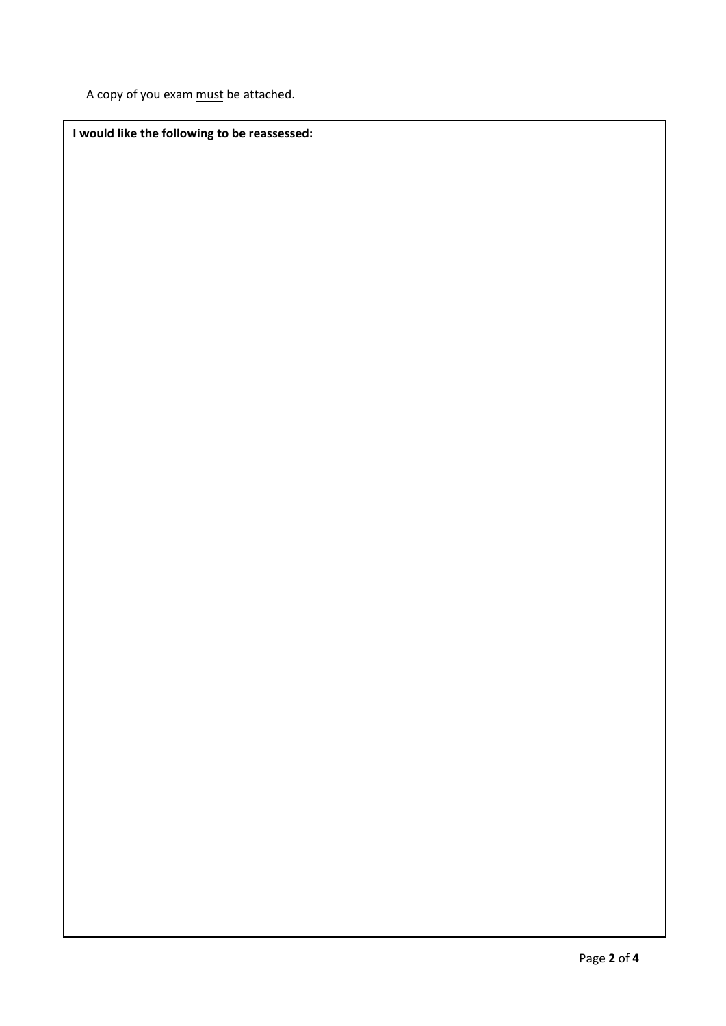A copy of you exam must be attached.

**I would like the following to be reassessed:**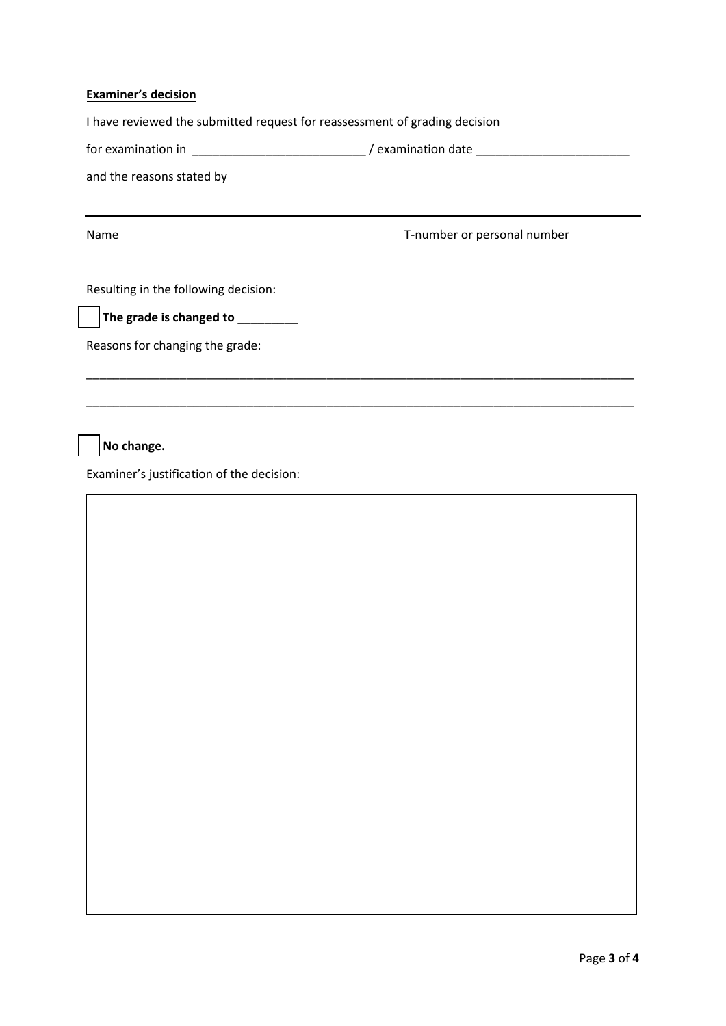## **Examiner's decision**

I have reviewed the submitted request for reassessment of grading decision

| tor examination in | ' examination date |  |
|--------------------|--------------------|--|
|                    |                    |  |
|                    |                    |  |

\_\_\_\_\_\_\_\_\_\_\_\_\_\_\_\_\_\_\_\_\_\_\_\_\_\_\_\_\_\_\_\_\_\_\_\_\_\_\_\_\_\_\_\_\_\_\_\_\_\_\_\_\_\_\_\_\_\_\_\_\_\_\_\_\_\_\_\_\_\_\_\_\_\_\_\_\_\_\_\_\_\_

\_\_\_\_\_\_\_\_\_\_\_\_\_\_\_\_\_\_\_\_\_\_\_\_\_\_\_\_\_\_\_\_\_\_\_\_\_\_\_\_\_\_\_\_\_\_\_\_\_\_\_\_\_\_\_\_\_\_\_\_\_\_\_\_\_\_\_\_\_\_\_\_\_\_\_\_\_\_\_\_\_\_

and the reasons stated by

Name T-number or personal number

Resulting in the following decision:

☐ **The grade is changed to** \_\_\_\_\_\_\_\_\_

Reasons for changing the grade:

☐ **No change.**

Examiner's justification of the decision: